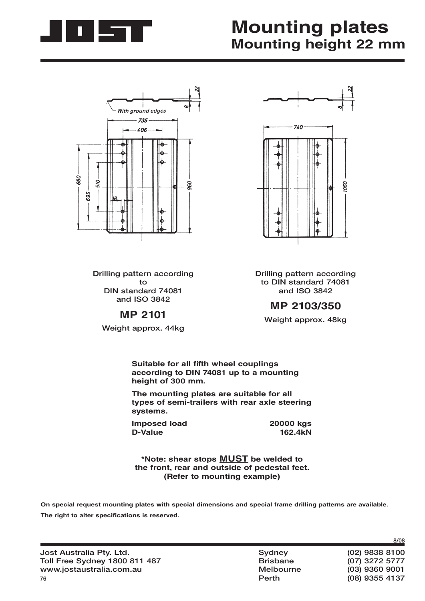

## **Mounting plates Mounting height 22 mm**



**Drilling pattern according to DIN standard 74081 and ISO 3842**

#### **MP 2101**

**Weight approx. 44kg**



**Drilling pattern according to DIN standard 74081 and ISO 3842**

#### **MP 2103/350**

**Weight approx. 48kg**

**Suitable for all fifth wheel couplings according to DIN 74081 up to a mounting height of 300 mm.**

**The mounting plates are suitable for all types of semi-trailers with rear axle steering systems.**

**Imposed load 20000 kgs**<br>D-Value 162.4kN **D-Value** 

**\*Note: shear stops MUST be welded to the front, rear and outside of pedestal feet. (Refer to mounting example)**

**On special request mounting plates with special dimensions and special frame drilling patterns are available.** The right to alter specifications is reserved.

 **Perth (08) 9355 4137**

**8/08**